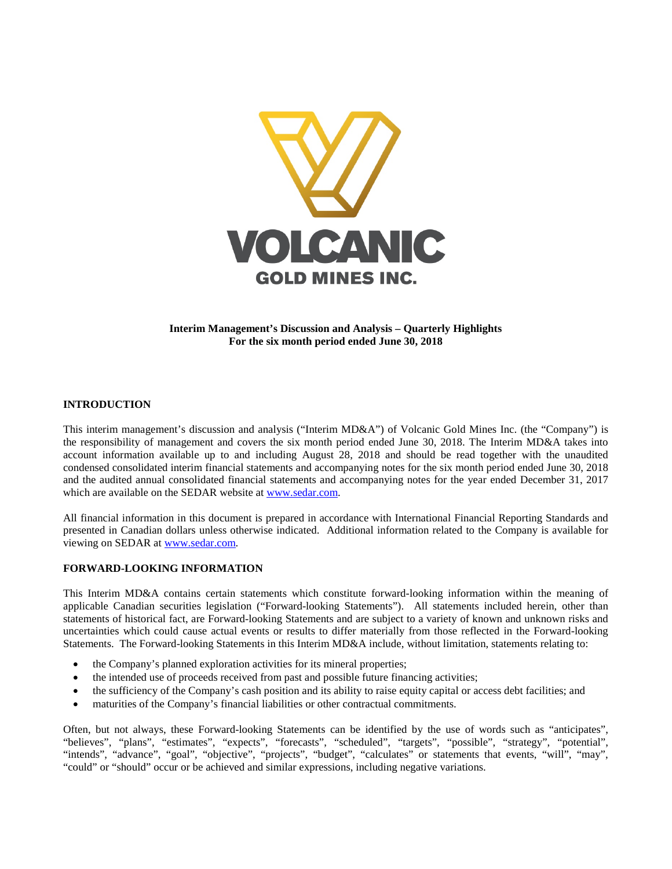

**Interim Management's Discussion and Analysis – Quarterly Highlights For the six month period ended June 30, 2018**

## **INTRODUCTION**

This interim management's discussion and analysis ("Interim MD&A") of Volcanic Gold Mines Inc. (the "Company") is the responsibility of management and covers the six month period ended June 30, 2018. The Interim MD&A takes into account information available up to and including August 28, 2018 and should be read together with the unaudited condensed consolidated interim financial statements and accompanying notes for the six month period ended June 30, 2018 and the audited annual consolidated financial statements and accompanying notes for the year ended December 31, 2017 which are available on the SEDAR website at [www.sedar.com.](http://www.sedar.com/)

All financial information in this document is prepared in accordance with International Financial Reporting Standards and presented in Canadian dollars unless otherwise indicated. Additional information related to the Company is available for viewing on SEDAR at [www.sedar.com.](http://www.sedar.com/)

#### **FORWARD-LOOKING INFORMATION**

This Interim MD&A contains certain statements which constitute forward-looking information within the meaning of applicable Canadian securities legislation ("Forward-looking Statements"). All statements included herein, other than statements of historical fact, are Forward-looking Statements and are subject to a variety of known and unknown risks and uncertainties which could cause actual events or results to differ materially from those reflected in the Forward-looking Statements. The Forward-looking Statements in this Interim MD&A include, without limitation, statements relating to:

- the Company's planned exploration activities for its mineral properties;
- the intended use of proceeds received from past and possible future financing activities;
- the sufficiency of the Company's cash position and its ability to raise equity capital or access debt facilities; and
- maturities of the Company's financial liabilities or other contractual commitments.

Often, but not always, these Forward-looking Statements can be identified by the use of words such as "anticipates", "believes", "plans", "estimates", "expects", "forecasts", "scheduled", "targets", "possible", "strategy", "potential", "intends", "advance", "goal", "objective", "projects", "budget", "calculates" or statements that events, "will", "may", "could" or "should" occur or be achieved and similar expressions, including negative variations.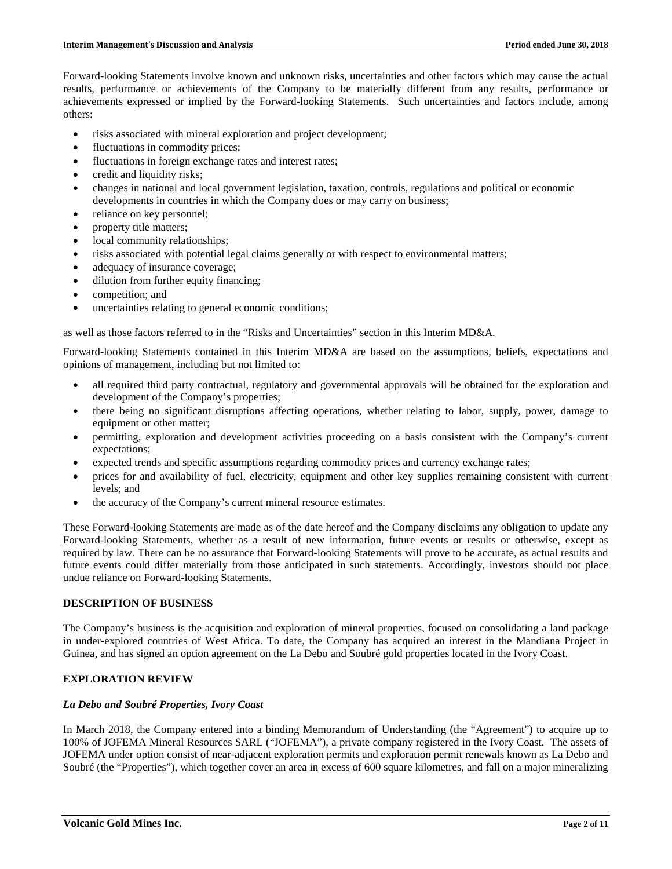Forward-looking Statements involve known and unknown risks, uncertainties and other factors which may cause the actual results, performance or achievements of the Company to be materially different from any results, performance or achievements expressed or implied by the Forward-looking Statements. Such uncertainties and factors include, among others:

- risks associated with mineral exploration and project development;
- fluctuations in commodity prices;
- fluctuations in foreign exchange rates and interest rates;
- credit and liquidity risks;
- changes in national and local government legislation, taxation, controls, regulations and political or economic developments in countries in which the Company does or may carry on business;
- reliance on key personnel;
- property title matters;
- local community relationships;
- risks associated with potential legal claims generally or with respect to environmental matters;
- adequacy of insurance coverage;
- dilution from further equity financing;
- competition; and
- uncertainties relating to general economic conditions;

as well as those factors referred to in the "Risks and Uncertainties" section in this Interim MD&A.

Forward-looking Statements contained in this Interim MD&A are based on the assumptions, beliefs, expectations and opinions of management, including but not limited to:

- all required third party contractual, regulatory and governmental approvals will be obtained for the exploration and development of the Company's properties;
- there being no significant disruptions affecting operations, whether relating to labor, supply, power, damage to equipment or other matter;
- permitting, exploration and development activities proceeding on a basis consistent with the Company's current expectations;
- expected trends and specific assumptions regarding commodity prices and currency exchange rates;
- prices for and availability of fuel, electricity, equipment and other key supplies remaining consistent with current levels; and
- the accuracy of the Company's current mineral resource estimates.

These Forward-looking Statements are made as of the date hereof and the Company disclaims any obligation to update any Forward-looking Statements, whether as a result of new information, future events or results or otherwise, except as required by law. There can be no assurance that Forward-looking Statements will prove to be accurate, as actual results and future events could differ materially from those anticipated in such statements. Accordingly, investors should not place undue reliance on Forward-looking Statements.

# **DESCRIPTION OF BUSINESS**

The Company's business is the acquisition and exploration of mineral properties, focused on consolidating a land package in under-explored countries of West Africa. To date, the Company has acquired an interest in the Mandiana Project in Guinea, and has signed an option agreement on the La Debo and Soubré gold properties located in the Ivory Coast.

## **EXPLORATION REVIEW**

## *La Debo and Soubré Properties, Ivory Coast*

In March 2018, the Company entered into a binding Memorandum of Understanding (the "Agreement") to acquire up to 100% of JOFEMA Mineral Resources SARL ("JOFEMA"), a private company registered in the Ivory Coast. The assets of JOFEMA under option consist of near-adjacent exploration permits and exploration permit renewals known as La Debo and Soubré (the "Properties"), which together cover an area in excess of 600 square kilometres, and fall on a major mineralizing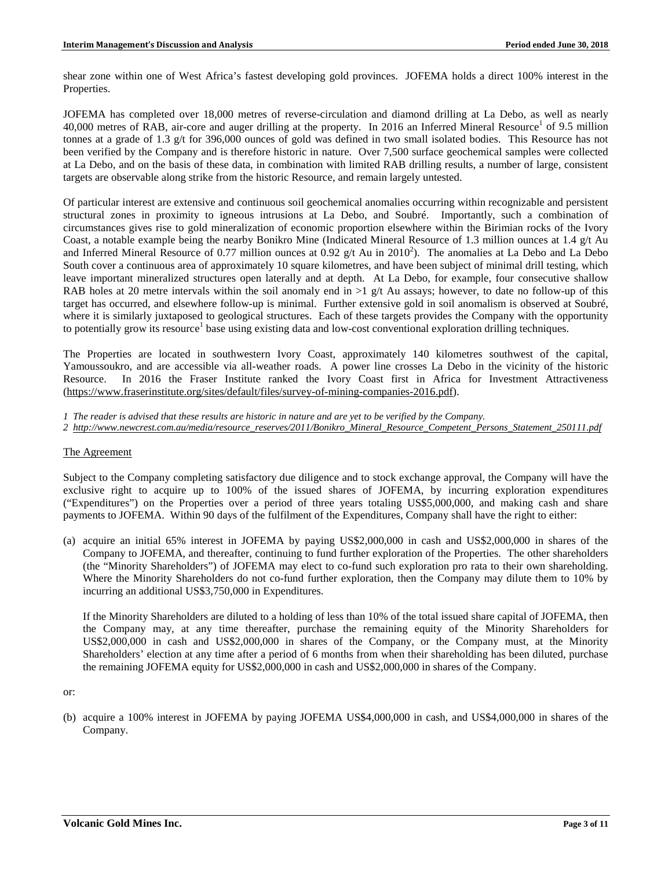shear zone within one of West Africa's fastest developing gold provinces. JOFEMA holds a direct 100% interest in the Properties.

JOFEMA has completed over 18,000 metres of reverse-circulation and diamond drilling at La Debo, as well as nearly 40,000 metres of RAB, air-core and auger drilling at the property. In 2016 an Inferred Mineral Resource<sup>1</sup> of 9.5 million tonnes at a grade of 1.3 g/t for 396,000 ounces of gold was defined in two small isolated bodies. This Resource has not been verified by the Company and is therefore historic in nature. Over 7,500 surface geochemical samples were collected at La Debo, and on the basis of these data, in combination with limited RAB drilling results, a number of large, consistent targets are observable along strike from the historic Resource, and remain largely untested.

Of particular interest are extensive and continuous soil geochemical anomalies occurring within recognizable and persistent structural zones in proximity to igneous intrusions at La Debo, and Soubré. Importantly, such a combination of circumstances gives rise to gold mineralization of economic proportion elsewhere within the Birimian rocks of the Ivory Coast, a notable example being the nearby Bonikro Mine (Indicated Mineral Resource of 1.3 million ounces at 1.4 g/t Au and Inferred Mineral Resource of 0.77 million ounces at 0.92  $g/t$  Au in 2010<sup>2</sup>). The anomalies at La Debo and La Debo South cover a continuous area of approximately 10 square kilometres, and have been subject of minimal drill testing, which leave important mineralized structures open laterally and at depth. At La Debo, for example, four consecutive shallow RAB holes at 20 metre intervals within the soil anomaly end in  $>1$  g/t Au assays; however, to date no follow-up of this target has occurred, and elsewhere follow-up is minimal. Further extensive gold in soil anomalism is observed at Soubré, where it is similarly juxtaposed to geological structures. Each of these targets provides the Company with the opportunity to potentially grow its resource<sup>1</sup> base using existing data and low-cost conventional exploration drilling techniques.

The Properties are located in southwestern Ivory Coast, approximately 140 kilometres southwest of the capital, Yamoussoukro, and are accessible via all-weather roads. A power line crosses La Debo in the vicinity of the historic Resource. In 2016 the Fraser Institute ranked the Ivory Coast first in Africa for Investment Attractiveness [\(https://www.fraserinstitute.org/sites/default/files/survey-of-mining-companies-2016.pdf\)](https://www.fraserinstitute.org/sites/default/files/survey-of-mining-companies-2016.pdf).

- *1 The reader is advised that these results are historic in nature and are yet to be verified by the Company.*
- *2 [http://www.newcrest.com.au/media/resource\\_reserves/2011/Bonikro\\_Mineral\\_Resource\\_Competent\\_Persons\\_Statement\\_250111.pdf](http://www.newcrest.com.au/media/resource_reserves/2011/Bonikro_Mineral_Resource_Competent_Persons_Statement_250111.pdf)*

## The Agreement

Subject to the Company completing satisfactory due diligence and to stock exchange approval, the Company will have the exclusive right to acquire up to 100% of the issued shares of JOFEMA, by incurring exploration expenditures ("Expenditures") on the Properties over a period of three years totaling US\$5,000,000, and making cash and share payments to JOFEMA. Within 90 days of the fulfilment of the Expenditures, Company shall have the right to either:

(a) acquire an initial 65% interest in JOFEMA by paying US\$2,000,000 in cash and US\$2,000,000 in shares of the Company to JOFEMA, and thereafter, continuing to fund further exploration of the Properties. The other shareholders (the "Minority Shareholders") of JOFEMA may elect to co-fund such exploration pro rata to their own shareholding. Where the Minority Shareholders do not co-fund further exploration, then the Company may dilute them to 10% by incurring an additional US\$3,750,000 in Expenditures.

If the Minority Shareholders are diluted to a holding of less than 10% of the total issued share capital of JOFEMA, then the Company may, at any time thereafter, purchase the remaining equity of the Minority Shareholders for US\$2,000,000 in cash and US\$2,000,000 in shares of the Company, or the Company must, at the Minority Shareholders' election at any time after a period of 6 months from when their shareholding has been diluted, purchase the remaining JOFEMA equity for US\$2,000,000 in cash and US\$2,000,000 in shares of the Company.

or:

(b) acquire a 100% interest in JOFEMA by paying JOFEMA US\$4,000,000 in cash, and US\$4,000,000 in shares of the Company.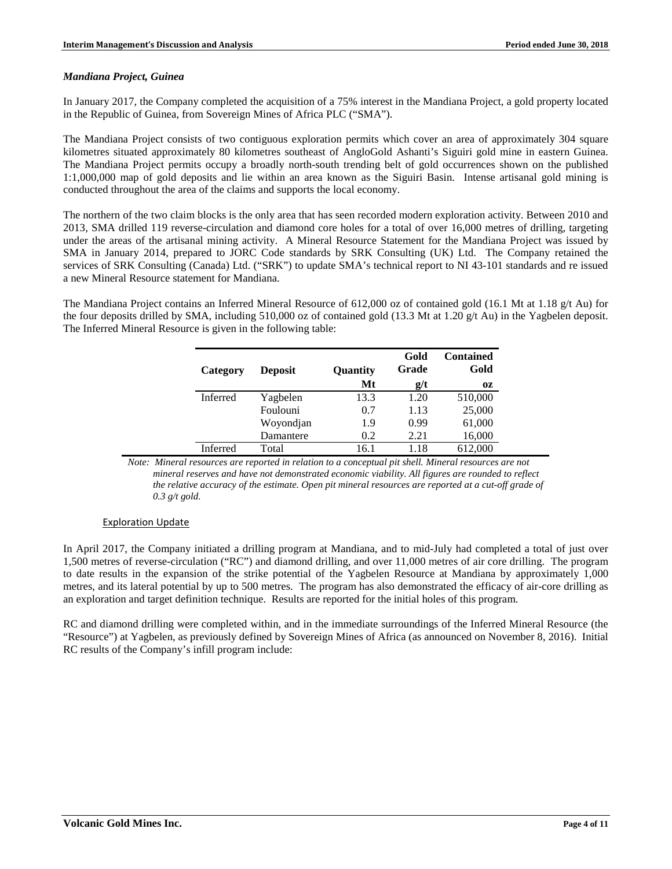### *Mandiana Project, Guinea*

In January 2017, the Company completed the acquisition of a 75% interest in the Mandiana Project, a gold property located in the Republic of Guinea, from Sovereign Mines of Africa PLC ("SMA").

The Mandiana Project consists of two contiguous exploration permits which cover an area of approximately 304 square kilometres situated approximately 80 kilometres southeast of AngloGold Ashanti's Siguiri gold mine in eastern Guinea. The Mandiana Project permits occupy a broadly north-south trending belt of gold occurrences shown on the published 1:1,000,000 map of gold deposits and lie within an area known as the Siguiri Basin. Intense artisanal gold mining is conducted throughout the area of the claims and supports the local economy.

The northern of the two claim blocks is the only area that has seen recorded modern exploration activity. Between 2010 and 2013, SMA drilled 119 reverse-circulation and diamond core holes for a total of over 16,000 metres of drilling, targeting under the areas of the artisanal mining activity. A Mineral Resource Statement for the Mandiana Project was issued by SMA in January 2014, prepared to JORC Code standards by SRK Consulting (UK) Ltd. The Company retained the services of SRK Consulting (Canada) Ltd. ("SRK") to update SMA's technical report to NI 43-101 standards and re issued a new Mineral Resource statement for Mandiana.

The Mandiana Project contains an Inferred Mineral Resource of 612,000 oz of contained gold (16.1 Mt at 1.18 g/t Au) for the four deposits drilled by SMA, including 510,000 oz of contained gold (13.3 Mt at 1.20  $g/t$  Au) in the Yagbelen deposit. The Inferred Mineral Resource is given in the following table:

| Category        | <b>Deposit</b> | <b>Quantity</b> | Gold<br>Grade | <b>Contained</b><br>Gold |
|-----------------|----------------|-----------------|---------------|--------------------------|
|                 |                | Mt              | g/t           | 0Z                       |
| <b>Inferred</b> | Yagbelen       | 13.3            | 1.20          | 510,000                  |
|                 | Foulouni       | 0.7             | 1.13          | 25,000                   |
|                 | Woyondjan      | 1.9             | 0.99          | 61,000                   |
|                 | Damantere      | 0.2             | 2.21          | 16,000                   |
| Inferred        | Total          | 16.1            | 1.18          | 612,000                  |

*Note: Mineral resources are reported in relation to a conceptual pit shell. Mineral resources are not mineral reserves and have not demonstrated economic viability. All figures are rounded to reflect the relative accuracy of the estimate. Open pit mineral resources are reported at a cut-off grade of 0.3 g/t gold.* 

## Exploration Update

In April 2017, the Company initiated a drilling program at Mandiana, and to mid-July had completed a total of just over 1,500 metres of reverse-circulation ("RC") and diamond drilling, and over 11,000 metres of air core drilling. The program to date results in the expansion of the strike potential of the Yagbelen Resource at Mandiana by approximately 1,000 metres, and its lateral potential by up to 500 metres. The program has also demonstrated the efficacy of air-core drilling as an exploration and target definition technique. Results are reported for the initial holes of this program.

RC and diamond drilling were completed within, and in the immediate surroundings of the Inferred Mineral Resource (the "Resource") at Yagbelen, as previously defined by Sovereign Mines of Africa (as announced on November 8, 2016). Initial RC results of the Company's infill program include: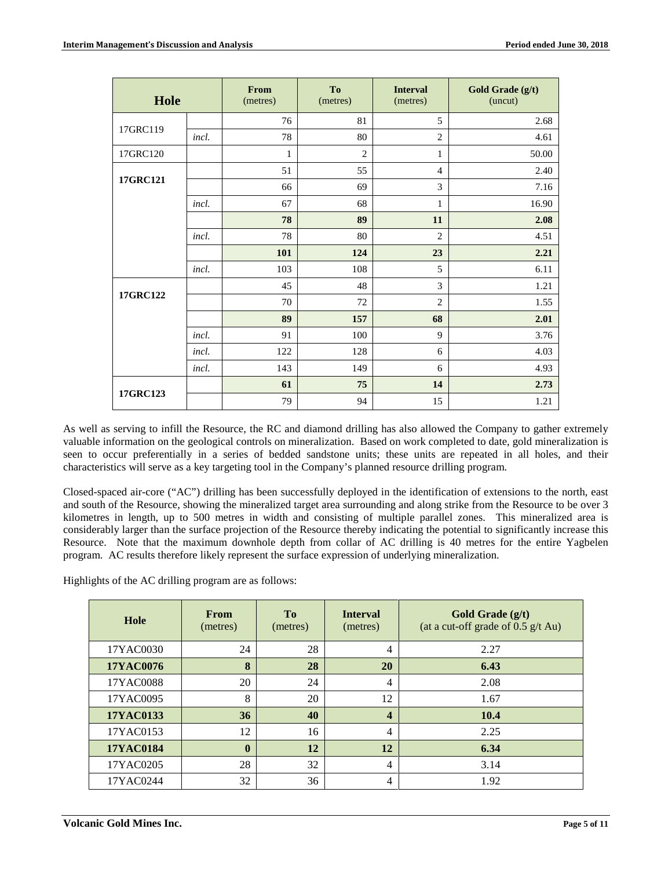| Hole     |       | From<br>(metres) | To<br>(metres) | <b>Interval</b><br>(metres) | Gold Grade (g/t)<br>(uncut) |
|----------|-------|------------------|----------------|-----------------------------|-----------------------------|
|          |       | 76               | 81             | 5                           | 2.68                        |
| 17GRC119 | incl. | 78               | 80             | $\overline{2}$              | 4.61                        |
| 17GRC120 |       | 1                | $\overline{c}$ | 1                           | 50.00                       |
|          |       | 51               | 55             | $\overline{4}$              | 2.40                        |
| 17GRC121 |       | 66               | 69             | 3                           | 7.16                        |
|          | incl. | 67               | 68             | $\mathbf{1}$                | 16.90                       |
|          |       | 78               | 89             | 11                          | 2.08                        |
|          | incl. | 78               | 80             | $\overline{2}$              | 4.51                        |
|          |       | 101              | 124            | 23                          | 2.21                        |
|          | incl. | 103              | 108            | 5                           | 6.11                        |
| 17GRC122 |       | 45               | 48             | 3                           | 1.21                        |
|          |       | 70               | 72             | $\overline{2}$              | 1.55                        |
|          |       | 89               | 157            | 68                          | 2.01                        |
|          | incl. | 91               | 100            | 9                           | 3.76                        |
|          | incl. | 122              | 128            | 6                           | 4.03                        |
|          | incl. | 143              | 149            | 6                           | 4.93                        |
|          |       | 61               | 75             | 14                          | 2.73                        |
| 17GRC123 |       | 79               | 94             | 15                          | 1.21                        |

As well as serving to infill the Resource, the RC and diamond drilling has also allowed the Company to gather extremely valuable information on the geological controls on mineralization. Based on work completed to date, gold mineralization is seen to occur preferentially in a series of bedded sandstone units; these units are repeated in all holes, and their characteristics will serve as a key targeting tool in the Company's planned resource drilling program.

Closed-spaced air-core ("AC") drilling has been successfully deployed in the identification of extensions to the north, east and south of the Resource, showing the mineralized target area surrounding and along strike from the Resource to be over 3 kilometres in length, up to 500 metres in width and consisting of multiple parallel zones. This mineralized area is considerably larger than the surface projection of the Resource thereby indicating the potential to significantly increase this Resource. Note that the maximum downhole depth from collar of AC drilling is 40 metres for the entire Yagbelen program. AC results therefore likely represent the surface expression of underlying mineralization.

Highlights of the AC drilling program are as follows:

| Hole             | <b>From</b><br>(metres) | T <sub>0</sub><br>(metres) | <b>Interval</b><br>(metres) | Gold Grade (g/t)<br>(at a cut-off grade of $0.5$ g/t Au) |
|------------------|-------------------------|----------------------------|-----------------------------|----------------------------------------------------------|
| 17YAC0030        | 24                      | 28                         | 4                           | 2.27                                                     |
| <b>17YAC0076</b> | 8                       | 28                         | 20                          | 6.43                                                     |
| 17YAC0088        | 20                      | 24                         | 4                           | 2.08                                                     |
| 17YAC0095        | 8                       | 20                         | 12                          | 1.67                                                     |
| 17YAC0133        | 36                      | 40                         | 4                           | 10.4                                                     |
| 17YAC0153        | 12                      | 16                         | $\overline{4}$              | 2.25                                                     |
| <b>17YAC0184</b> | $\mathbf{0}$            | 12                         | 12                          | 6.34                                                     |
| 17YAC0205        | 28                      | 32                         | 4                           | 3.14                                                     |
| 17YAC0244        | 32                      | 36                         | 4                           | 1.92                                                     |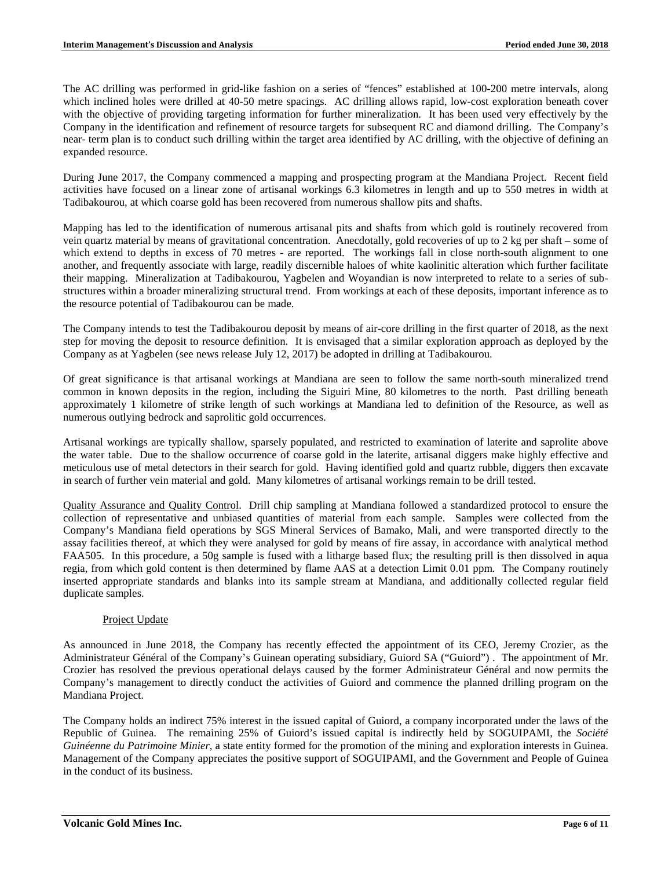The AC drilling was performed in grid-like fashion on a series of "fences" established at 100-200 metre intervals, along which inclined holes were drilled at 40-50 metre spacings. AC drilling allows rapid, low-cost exploration beneath cover with the objective of providing targeting information for further mineralization. It has been used very effectively by the Company in the identification and refinement of resource targets for subsequent RC and diamond drilling. The Company's near- term plan is to conduct such drilling within the target area identified by AC drilling, with the objective of defining an expanded resource.

During June 2017, the Company commenced a mapping and prospecting program at the Mandiana Project. Recent field activities have focused on a linear zone of artisanal workings 6.3 kilometres in length and up to 550 metres in width at Tadibakourou, at which coarse gold has been recovered from numerous shallow pits and shafts.

Mapping has led to the identification of numerous artisanal pits and shafts from which gold is routinely recovered from vein quartz material by means of gravitational concentration. Anecdotally, gold recoveries of up to 2 kg per shaft – some of which extend to depths in excess of 70 metres - are reported. The workings fall in close north-south alignment to one another, and frequently associate with large, readily discernible haloes of white kaolinitic alteration which further facilitate their mapping. Mineralization at Tadibakourou, Yagbelen and Woyandian is now interpreted to relate to a series of substructures within a broader mineralizing structural trend. From workings at each of these deposits, important inference as to the resource potential of Tadibakourou can be made.

The Company intends to test the Tadibakourou deposit by means of air-core drilling in the first quarter of 2018, as the next step for moving the deposit to resource definition. It is envisaged that a similar exploration approach as deployed by the Company as at Yagbelen (see news release July 12, 2017) be adopted in drilling at Tadibakourou.

Of great significance is that artisanal workings at Mandiana are seen to follow the same north-south mineralized trend common in known deposits in the region, including the Siguiri Mine, 80 kilometres to the north. Past drilling beneath approximately 1 kilometre of strike length of such workings at Mandiana led to definition of the Resource, as well as numerous outlying bedrock and saprolitic gold occurrences.

Artisanal workings are typically shallow, sparsely populated, and restricted to examination of laterite and saprolite above the water table. Due to the shallow occurrence of coarse gold in the laterite, artisanal diggers make highly effective and meticulous use of metal detectors in their search for gold. Having identified gold and quartz rubble, diggers then excavate in search of further vein material and gold. Many kilometres of artisanal workings remain to be drill tested.

Quality Assurance and Quality Control. Drill chip sampling at Mandiana followed a standardized protocol to ensure the collection of representative and unbiased quantities of material from each sample. Samples were collected from the Company's Mandiana field operations by SGS Mineral Services of Bamako, Mali, and were transported directly to the assay facilities thereof, at which they were analysed for gold by means of fire assay, in accordance with analytical method FAA505. In this procedure, a 50g sample is fused with a litharge based flux; the resulting prill is then dissolved in aqua regia, from which gold content is then determined by flame AAS at a detection Limit 0.01 ppm. The Company routinely inserted appropriate standards and blanks into its sample stream at Mandiana, and additionally collected regular field duplicate samples.

## Project Update

As announced in June 2018, the Company has recently effected the appointment of its CEO, Jeremy Crozier, as the Administrateur Général of the Company's Guinean operating subsidiary, Guiord SA ("Guiord") . The appointment of Mr. Crozier has resolved the previous operational delays caused by the former Administrateur Général and now permits the Company's management to directly conduct the activities of Guiord and commence the planned drilling program on the Mandiana Project.

The Company holds an indirect 75% interest in the issued capital of Guiord, a company incorporated under the laws of the Republic of Guinea. The remaining 25% of Guiord's issued capital is indirectly held by SOGUIPAMI, the *Société Guinéenne du Patrimoine Minier*, a state entity formed for the promotion of the mining and exploration interests in Guinea. Management of the Company appreciates the positive support of SOGUIPAMI, and the Government and People of Guinea in the conduct of its business.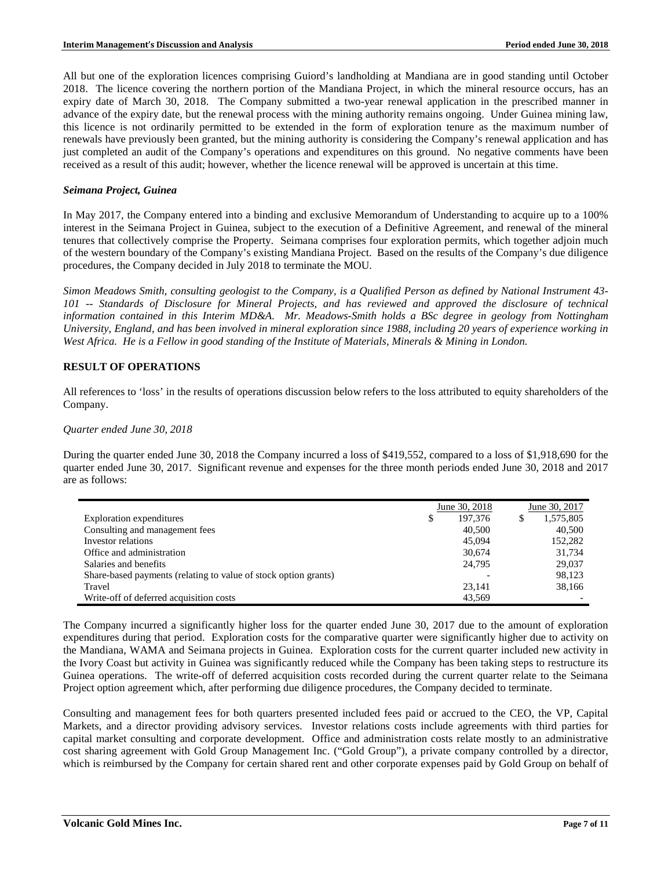All but one of the exploration licences comprising Guiord's landholding at Mandiana are in good standing until October 2018. The licence covering the northern portion of the Mandiana Project, in which the mineral resource occurs, has an expiry date of March 30, 2018. The Company submitted a two-year renewal application in the prescribed manner in advance of the expiry date, but the renewal process with the mining authority remains ongoing. Under Guinea mining law, this licence is not ordinarily permitted to be extended in the form of exploration tenure as the maximum number of renewals have previously been granted, but the mining authority is considering the Company's renewal application and has just completed an audit of the Company's operations and expenditures on this ground. No negative comments have been received as a result of this audit; however, whether the licence renewal will be approved is uncertain at this time.

#### *Seimana Project, Guinea*

In May 2017, the Company entered into a binding and exclusive Memorandum of Understanding to acquire up to a 100% interest in the Seimana Project in Guinea, subject to the execution of a Definitive Agreement, and renewal of the mineral tenures that collectively comprise the Property. Seimana comprises four exploration permits, which together adjoin much of the western boundary of the Company's existing Mandiana Project. Based on the results of the Company's due diligence procedures, the Company decided in July 2018 to terminate the MOU.

*Simon Meadows Smith, consulting geologist to the Company, is a Qualified Person as defined by National Instrument 43- 101 -- Standards of Disclosure for Mineral Projects, and has reviewed and approved the disclosure of technical information contained in this Interim MD&A. Mr. Meadows-Smith holds a BSc degree in geology from Nottingham University, England, and has been involved in mineral exploration since 1988, including 20 years of experience working in West Africa. He is a Fellow in good standing of the Institute of Materials, Minerals & Mining in London.*

#### **RESULT OF OPERATIONS**

All references to 'loss' in the results of operations discussion below refers to the loss attributed to equity shareholders of the Company.

#### *Quarter ended June 30, 2018*

During the quarter ended June 30, 2018 the Company incurred a loss of \$419,552, compared to a loss of \$1,918,690 for the quarter ended June 30, 2017. Significant revenue and expenses for the three month periods ended June 30, 2018 and 2017 are as follows:

|                                                                 | June 30, 2018 |    | June 30, 2017 |
|-----------------------------------------------------------------|---------------|----|---------------|
| <b>Exploration</b> expenditures                                 | \$<br>197.376 | ۰D | 1,575,805     |
| Consulting and management fees                                  | 40,500        |    | 40,500        |
| Investor relations                                              | 45,094        |    | 152,282       |
| Office and administration                                       | 30,674        |    | 31.734        |
| Salaries and benefits                                           | 24,795        |    | 29,037        |
| Share-based payments (relating to value of stock option grants) |               |    | 98,123        |
| Travel                                                          | 23.141        |    | 38,166        |
| Write-off of deferred acquisition costs                         | 43.569        |    |               |

The Company incurred a significantly higher loss for the quarter ended June 30, 2017 due to the amount of exploration expenditures during that period. Exploration costs for the comparative quarter were significantly higher due to activity on the Mandiana, WAMA and Seimana projects in Guinea. Exploration costs for the current quarter included new activity in the Ivory Coast but activity in Guinea was significantly reduced while the Company has been taking steps to restructure its Guinea operations. The write-off of deferred acquisition costs recorded during the current quarter relate to the Seimana Project option agreement which, after performing due diligence procedures, the Company decided to terminate.

Consulting and management fees for both quarters presented included fees paid or accrued to the CEO, the VP, Capital Markets, and a director providing advisory services. Investor relations costs include agreements with third parties for capital market consulting and corporate development. Office and administration costs relate mostly to an administrative cost sharing agreement with Gold Group Management Inc. ("Gold Group"), a private company controlled by a director, which is reimbursed by the Company for certain shared rent and other corporate expenses paid by Gold Group on behalf of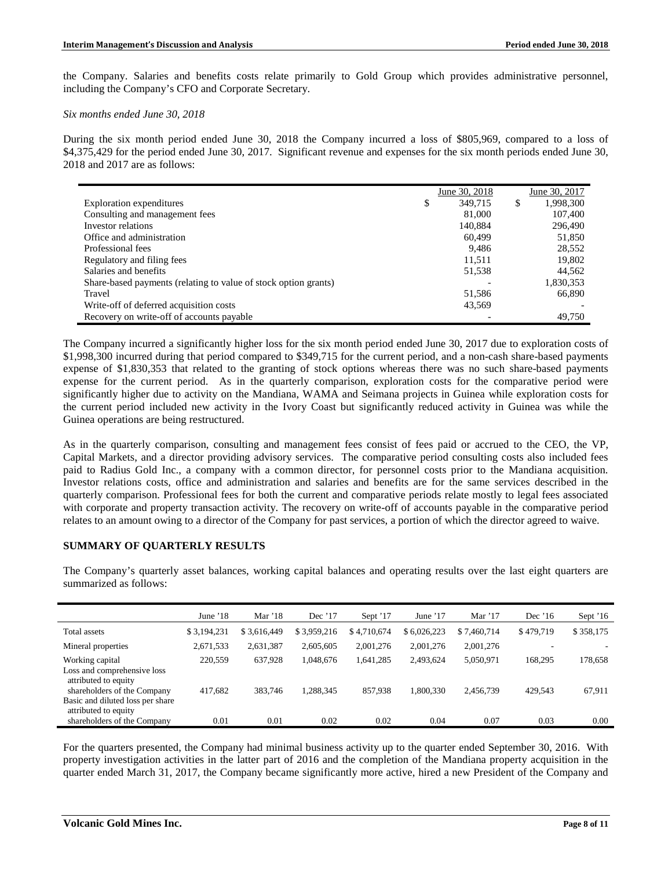the Company. Salaries and benefits costs relate primarily to Gold Group which provides administrative personnel, including the Company's CFO and Corporate Secretary.

### *Six months ended June 30, 2018*

During the six month period ended June 30, 2018 the Company incurred a loss of \$805,969, compared to a loss of \$4,375,429 for the period ended June 30, 2017. Significant revenue and expenses for the six month periods ended June 30, 2018 and 2017 are as follows:

|                                                                 | June 30, 2018 | June 30, 2017   |
|-----------------------------------------------------------------|---------------|-----------------|
| <b>Exploration</b> expenditures                                 | 349,715<br>\$ | \$<br>1,998,300 |
| Consulting and management fees                                  | 81,000        | 107,400         |
| Investor relations                                              | 140.884       | 296.490         |
| Office and administration                                       | 60.499        | 51,850          |
| Professional fees                                               | 9.486         | 28,552          |
| Regulatory and filing fees                                      | 11.511        | 19,802          |
| Salaries and benefits                                           | 51,538        | 44,562          |
| Share-based payments (relating to value of stock option grants) |               | 1,830,353       |
| Travel                                                          | 51,586        | 66,890          |
| Write-off of deferred acquisition costs                         | 43,569        |                 |
| Recovery on write-off of accounts payable                       |               | 49.750          |

The Company incurred a significantly higher loss for the six month period ended June 30, 2017 due to exploration costs of \$1,998,300 incurred during that period compared to \$349,715 for the current period, and a non-cash share-based payments expense of \$1,830,353 that related to the granting of stock options whereas there was no such share-based payments expense for the current period. As in the quarterly comparison, exploration costs for the comparative period were significantly higher due to activity on the Mandiana, WAMA and Seimana projects in Guinea while exploration costs for the current period included new activity in the Ivory Coast but significantly reduced activity in Guinea was while the Guinea operations are being restructured.

As in the quarterly comparison, consulting and management fees consist of fees paid or accrued to the CEO, the VP, Capital Markets, and a director providing advisory services. The comparative period consulting costs also included fees paid to Radius Gold Inc., a company with a common director, for personnel costs prior to the Mandiana acquisition. Investor relations costs, office and administration and salaries and benefits are for the same services described in the quarterly comparison. Professional fees for both the current and comparative periods relate mostly to legal fees associated with corporate and property transaction activity. The recovery on write-off of accounts payable in the comparative period relates to an amount owing to a director of the Company for past services, a portion of which the director agreed to waive.

## **SUMMARY OF QUARTERLY RESULTS**

The Company's quarterly asset balances, working capital balances and operating results over the last eight quarters are summarized as follows:

|                                                                                         | June $18$   | Mar $'18$   | Dec $'17$   | Sept '17    | June $'17$  | Mar $'17$   | Dec $16$  | Sept $16$ |
|-----------------------------------------------------------------------------------------|-------------|-------------|-------------|-------------|-------------|-------------|-----------|-----------|
| Total assets                                                                            | \$3,194,231 | \$3,616,449 | \$3,959,216 | \$4,710,674 | \$6,026,223 | \$7,460,714 | \$479,719 | \$358,175 |
| Mineral properties                                                                      | 2,671,533   | 2,631,387   | 2,605,605   | 2.001.276   | 2,001,276   | 2,001,276   |           |           |
| Working capital<br>Loss and comprehensive loss<br>attributed to equity                  | 220,559     | 637.928     | 1.048.676   | .641,285    | 2,493,624   | 5,050,971   | 168,295   | 178,658   |
| shareholders of the Company<br>Basic and diluted loss per share<br>attributed to equity | 417.682     | 383.746     | 1,288,345   | 857,938     | .800.330    | 2,456,739   | 429.543   | 67,911    |
| shareholders of the Company                                                             | 0.01        | 0.01        | 0.02        | 0.02        | 0.04        | 0.07        | 0.03      | 0.00      |

For the quarters presented, the Company had minimal business activity up to the quarter ended September 30, 2016. With property investigation activities in the latter part of 2016 and the completion of the Mandiana property acquisition in the quarter ended March 31, 2017, the Company became significantly more active, hired a new President of the Company and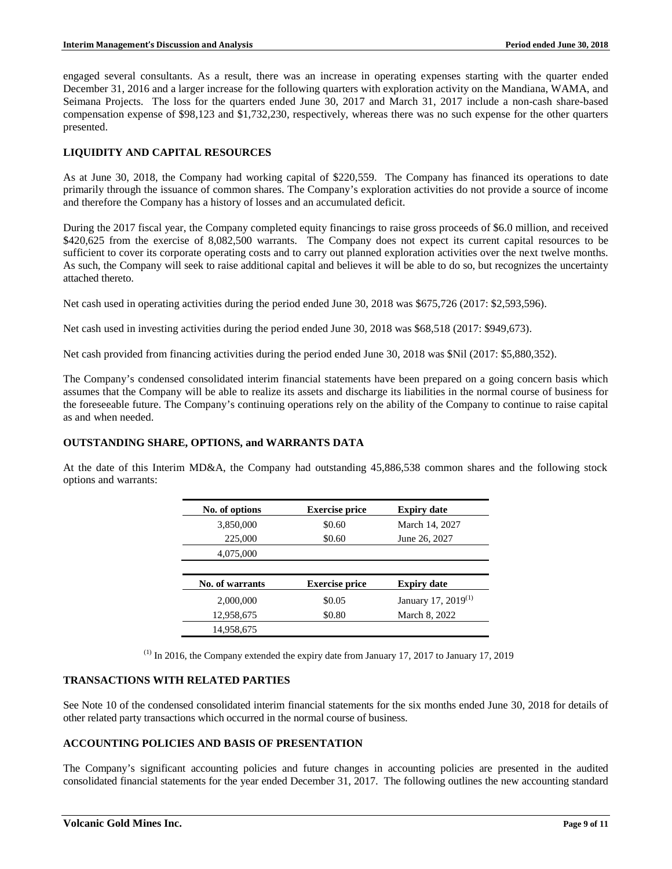engaged several consultants. As a result, there was an increase in operating expenses starting with the quarter ended December 31, 2016 and a larger increase for the following quarters with exploration activity on the Mandiana, WAMA, and Seimana Projects. The loss for the quarters ended June 30, 2017 and March 31, 2017 include a non-cash share-based compensation expense of \$98,123 and \$1,732,230, respectively, whereas there was no such expense for the other quarters presented.

## **LIQUIDITY AND CAPITAL RESOURCES**

As at June 30, 2018, the Company had working capital of \$220,559. The Company has financed its operations to date primarily through the issuance of common shares. The Company's exploration activities do not provide a source of income and therefore the Company has a history of losses and an accumulated deficit.

During the 2017 fiscal year, the Company completed equity financings to raise gross proceeds of \$6.0 million, and received \$420,625 from the exercise of 8,082,500 warrants. The Company does not expect its current capital resources to be sufficient to cover its corporate operating costs and to carry out planned exploration activities over the next twelve months. As such, the Company will seek to raise additional capital and believes it will be able to do so, but recognizes the uncertainty attached thereto.

Net cash used in operating activities during the period ended June 30, 2018 was \$675,726 (2017: \$2,593,596).

Net cash used in investing activities during the period ended June 30, 2018 was \$68,518 (2017: \$949,673).

Net cash provided from financing activities during the period ended June 30, 2018 was \$Nil (2017: \$5,880,352).

The Company's condensed consolidated interim financial statements have been prepared on a going concern basis which assumes that the Company will be able to realize its assets and discharge its liabilities in the normal course of business for the foreseeable future. The Company's continuing operations rely on the ability of the Company to continue to raise capital as and when needed.

## **OUTSTANDING SHARE, OPTIONS, and WARRANTS DATA**

At the date of this Interim MD&A, the Company had outstanding 45,886,538 common shares and the following stock options and warrants:

| No. of options  | <b>Exercise price</b> | <b>Expiry date</b>                               |
|-----------------|-----------------------|--------------------------------------------------|
| 3,850,000       | \$0.60                | March 14, 2027                                   |
| 225,000         | \$0.60                | June 26, 2027                                    |
| 4,075,000       |                       |                                                  |
|                 |                       |                                                  |
| No. of warrants | <b>Exercise price</b> |                                                  |
|                 |                       | <b>Expiry date</b>                               |
| 2,000,000       | \$0.05                |                                                  |
| 12,958,675      | \$0.80                | January 17, 2019 <sup>(1)</sup><br>March 8, 2022 |

 $(1)$  In 2016, the Company extended the expiry date from January 17, 2017 to January 17, 2019

## **TRANSACTIONS WITH RELATED PARTIES**

See Note 10 of the condensed consolidated interim financial statements for the six months ended June 30, 2018 for details of other related party transactions which occurred in the normal course of business.

## **ACCOUNTING POLICIES AND BASIS OF PRESENTATION**

The Company's significant accounting policies and future changes in accounting policies are presented in the audited consolidated financial statements for the year ended December 31, 2017. The following outlines the new accounting standard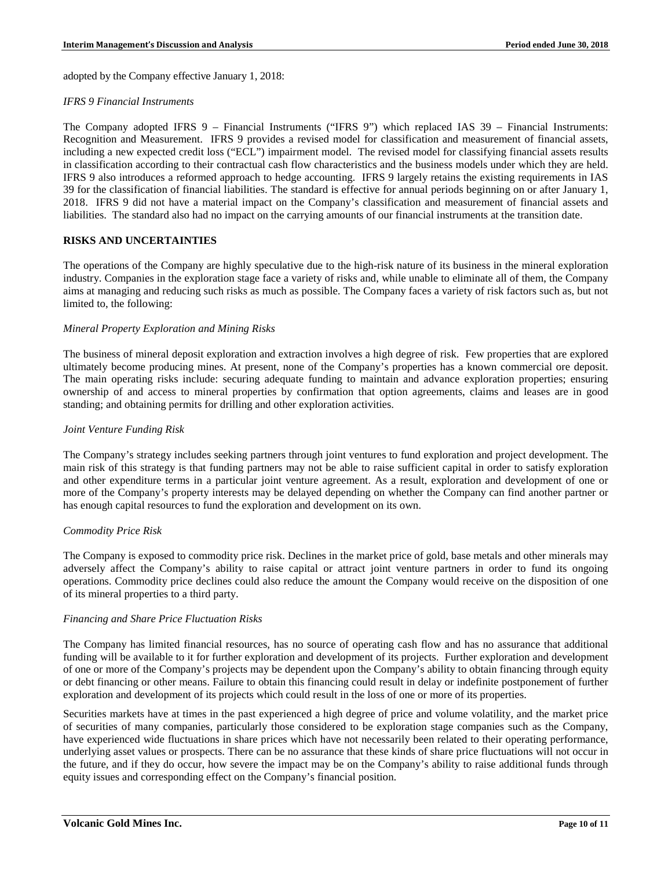adopted by the Company effective January 1, 2018:

### *IFRS 9 Financial Instruments*

The Company adopted IFRS 9 – Financial Instruments ("IFRS 9") which replaced IAS 39 – Financial Instruments: Recognition and Measurement. IFRS 9 provides a revised model for classification and measurement of financial assets, including a new expected credit loss ("ECL") impairment model. The revised model for classifying financial assets results in classification according to their contractual cash flow characteristics and the business models under which they are held. IFRS 9 also introduces a reformed approach to hedge accounting. IFRS 9 largely retains the existing requirements in IAS 39 for the classification of financial liabilities. The standard is effective for annual periods beginning on or after January 1, 2018. IFRS 9 did not have a material impact on the Company's classification and measurement of financial assets and liabilities. The standard also had no impact on the carrying amounts of our financial instruments at the transition date.

### **RISKS AND UNCERTAINTIES**

The operations of the Company are highly speculative due to the high-risk nature of its business in the mineral exploration industry. Companies in the exploration stage face a variety of risks and, while unable to eliminate all of them, the Company aims at managing and reducing such risks as much as possible. The Company faces a variety of risk factors such as, but not limited to, the following:

### *Mineral Property Exploration and Mining Risks*

The business of mineral deposit exploration and extraction involves a high degree of risk. Few properties that are explored ultimately become producing mines. At present, none of the Company's properties has a known commercial ore deposit. The main operating risks include: securing adequate funding to maintain and advance exploration properties; ensuring ownership of and access to mineral properties by confirmation that option agreements, claims and leases are in good standing; and obtaining permits for drilling and other exploration activities.

### *Joint Venture Funding Risk*

The Company's strategy includes seeking partners through joint ventures to fund exploration and project development. The main risk of this strategy is that funding partners may not be able to raise sufficient capital in order to satisfy exploration and other expenditure terms in a particular joint venture agreement. As a result, exploration and development of one or more of the Company's property interests may be delayed depending on whether the Company can find another partner or has enough capital resources to fund the exploration and development on its own.

#### *Commodity Price Risk*

The Company is exposed to commodity price risk. Declines in the market price of gold, base metals and other minerals may adversely affect the Company's ability to raise capital or attract joint venture partners in order to fund its ongoing operations. Commodity price declines could also reduce the amount the Company would receive on the disposition of one of its mineral properties to a third party.

#### *Financing and Share Price Fluctuation Risks*

The Company has limited financial resources, has no source of operating cash flow and has no assurance that additional funding will be available to it for further exploration and development of its projects. Further exploration and development of one or more of the Company's projects may be dependent upon the Company's ability to obtain financing through equity or debt financing or other means. Failure to obtain this financing could result in delay or indefinite postponement of further exploration and development of its projects which could result in the loss of one or more of its properties.

Securities markets have at times in the past experienced a high degree of price and volume volatility, and the market price of securities of many companies, particularly those considered to be exploration stage companies such as the Company, have experienced wide fluctuations in share prices which have not necessarily been related to their operating performance, underlying asset values or prospects. There can be no assurance that these kinds of share price fluctuations will not occur in the future, and if they do occur, how severe the impact may be on the Company's ability to raise additional funds through equity issues and corresponding effect on the Company's financial position.